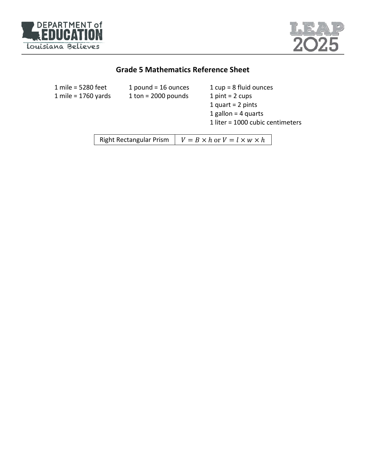



# **Grade 5 Mathematics Reference Sheet**

| 1 mile = 5280 feet<br>1 mile = 1760 yards | 1 pound = $16$ ounces<br>1 ton = $2000$ pounds | $1 cup = 8 fluid ounces$<br>1 $pint = 2$ cups<br>1 quart = $2$ pints<br>1 gallon = $4$ quarts<br>1 liter = 1000 cubic centimeters |  |
|-------------------------------------------|------------------------------------------------|-----------------------------------------------------------------------------------------------------------------------------------|--|
|                                           | <b>Right Rectangular Prism</b>                 | $V = B \times h$ or $V = l \times w \times h$                                                                                     |  |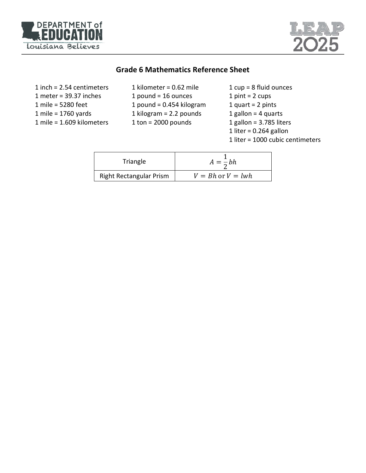



## **Grade 6 Mathematics Reference Sheet**

| $1$ inch = 2.54 centimeters |  |  |  |
|-----------------------------|--|--|--|
| 1 meter = $39.37$ inches    |  |  |  |
| 1 mile = 5280 feet          |  |  |  |
| 1 mile = $1760$ yards       |  |  |  |
| $1$ mile = 1.609 kilometers |  |  |  |

| 1 kilometer = $0.62$ mile  |
|----------------------------|
| 1 pound = $16$ ounces      |
| 1 pound = $0.454$ kilogram |
| 1 kilogram = $2.2$ pounds  |
| $1$ ton = 2000 pounds      |
|                            |

1 cup = 8 fluid ounces  $1$  pint =  $2$  cups 1 quart =  $2$  pints 1 gallon = 4 quarts 1 gallon = 3.785 liters 1 liter =  $0.264$  gallon 1 liter = 1000 cubic centimeters

| Triangle                       | $A=\frac{1}{2}bh$     |
|--------------------------------|-----------------------|
| <b>Right Rectangular Prism</b> | $V = Bh$ or $V = lwh$ |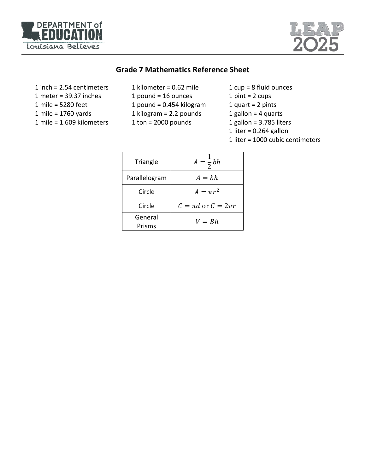



#### **Grade 7 Mathematics Reference Sheet**

- 1 inch = 2.54 centimeters 1 meter = 39.37 inches 1 mile = 5280 feet 1 mile = 1760 yards 1 mile = 1.609 kilometers
- 1 kilometer = 0.62 mile 1 pound = 16 ounces 1 pound = 0.454 kilogram 1 kilogram = 2.2 pounds 1 ton = 2000 pounds
- 1 cup = 8 fluid ounces
- 1 pint =  $2 \text{ cups}$
- 1 quart =  $2$  pints
- 1 gallon = 4 quarts
- 1 gallon = 3.785 liters
- 1 liter =  $0.264$  gallon
- 1 liter = 1000 cubic centimeters

| Triangle          | $A=\frac{1}{2}bh$           |
|-------------------|-----------------------------|
| Parallelogram     | $A = bh$                    |
| Circle            | $A = \pi r^2$               |
| Circle            | $C = \pi d$ or $C = 2\pi r$ |
| General<br>Prisms | $V = Bh$                    |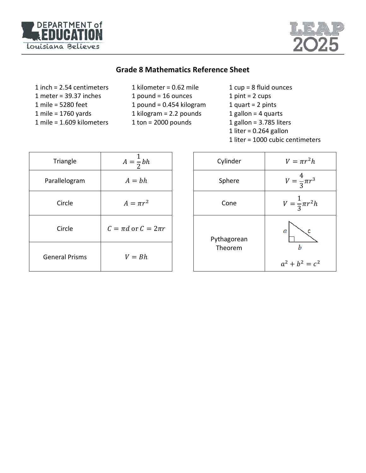



## **Grade 8 Mathematics Reference Sheet**

| $1$ inch = 2.54 centimeters   |
|-------------------------------|
| 1 meter = $39.37$ inches      |
| 1 mile = 5280 feet            |
| 1 mile = $1760$ yards         |
| $1$ mile = $1.609$ kilometers |

- 1 kilometer = 0.62 mile 1 pound = 16 ounces 1 pound = 0.454 kilogram 1 kilogram = 2.2 pounds 1 ton = 2000 pounds
- 1 cup = 8 fluid ounces  $1$  pint =  $2$  cups 1 quart =  $2$  pints 1 gallon = 4 quarts 1 gallon = 3.785 liters 1 liter =  $0.264$  gallon
- 1 liter = 1000 cubic centimeters

| Triangle              | $A=\frac{1}{2}bh$           | Cylinder    | $V = \pi$               |
|-----------------------|-----------------------------|-------------|-------------------------|
| Parallelogram         | $A = bh$                    | Sphere      | $\overline{4}$          |
| Circle                | $A = \pi r^2$               | Cone        |                         |
| Circle                | $C = \pi d$ or $C = 2\pi r$ | Pythagorean | a                       |
| <b>General Prisms</b> | $V = Bh$                    | Theorem     | $\bm{b}$<br>$a^2 + b^2$ |

| $\frac{1}{2}bh$ | Cylinder    | $V = \pi r^2 h$          |
|-----------------|-------------|--------------------------|
| bh              | Sphere      | $V = \frac{4}{3}\pi r^3$ |
| $\pi r^2$       | Cone        | $V=\frac{1}{3}\pi r^2h$  |
| $c = 2\pi r$    | Pythagorean | a                        |
| Bh              | Theorem     | b<br>$a^2 + b^2 = c^2$   |